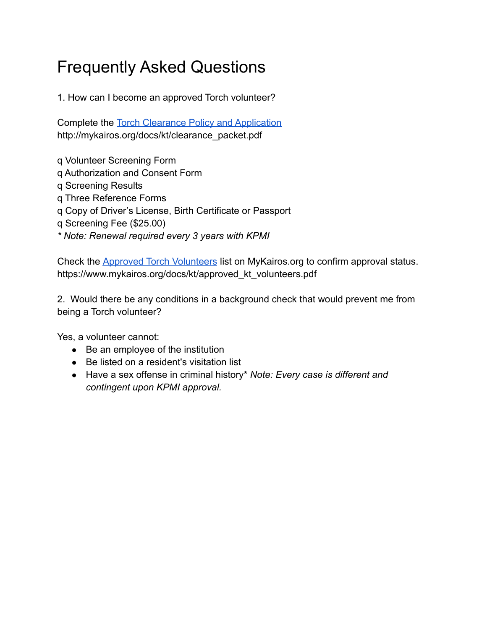## Frequently Asked Questions

1. How can I become an approved Torch volunteer?

Complete the [Torch Clearance Policy and Application](http://mykairos.org/docs/kt/clearance_packet.pdf) http://mykairos.org/docs/kt/clearance\_packet.pdf

q Volunteer Screening Form

- q Authorization and Consent Form
- q Screening Results
- q Three Reference Forms
- q Copy of Driver's License, Birth Certificate or Passport
- q Screening Fee (\$25.00)
- *\* Note: Renewal required every 3 years with KPMI*

Check the [Approved Torch Volunteers](https://www.mykairos.org/docs/kt/approved_kt_volunteers.pdf) list on MyKairos.org to confirm approval status. https://www.mykairos.org/docs/kt/approved\_kt\_volunteers.pdf

2. Would there be any conditions in a background check that would prevent me from being a Torch volunteer?

Yes, a volunteer cannot:

- Be an employee of the institution
- Be listed on a resident's visitation list
- Have a sex offense in criminal history\* *Note: Every case is different and contingent upon KPMI approval.*